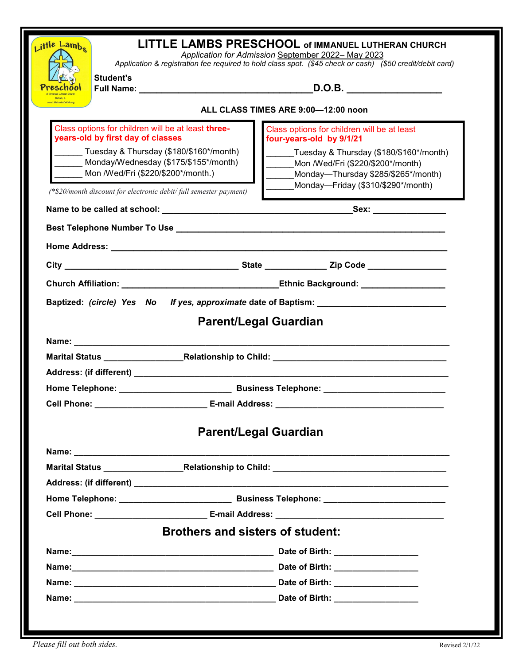| LITTLE LAMBS PRESCHOOL of IMMANUEL LUTHERAN CHURCH<br>Little Lambs<br>Application for Admission September 2022-May 2023                                                                                                                                                                 |                                                                                                           |                                                                                                                                                           |  |                                                                                                                                                                                                                                |  |  |  |
|-----------------------------------------------------------------------------------------------------------------------------------------------------------------------------------------------------------------------------------------------------------------------------------------|-----------------------------------------------------------------------------------------------------------|-----------------------------------------------------------------------------------------------------------------------------------------------------------|--|--------------------------------------------------------------------------------------------------------------------------------------------------------------------------------------------------------------------------------|--|--|--|
|                                                                                                                                                                                                                                                                                         | Application & registration fee required to hold class spot. (\$45 check or cash) (\$50 credit/debit card) |                                                                                                                                                           |  |                                                                                                                                                                                                                                |  |  |  |
| <b>Student's</b>                                                                                                                                                                                                                                                                        | _D.O.B. ____________________                                                                              |                                                                                                                                                           |  |                                                                                                                                                                                                                                |  |  |  |
|                                                                                                                                                                                                                                                                                         |                                                                                                           |                                                                                                                                                           |  |                                                                                                                                                                                                                                |  |  |  |
| ALL CLASS TIMES ARE 9:00-12:00 noon                                                                                                                                                                                                                                                     |                                                                                                           |                                                                                                                                                           |  |                                                                                                                                                                                                                                |  |  |  |
| Class options for children will be at least three-<br>years-old by first day of classes<br>Tuesday & Thursday (\$180/\$160*/month)<br>Monday/Wednesday (\$175/\$155*/month)<br>Mon /Wed/Fri (\$220/\$200*/month.)<br>(*\$20/month discount for electronic debit/ full semester payment) |                                                                                                           | Class options for children will be at least<br>four-years-old by 9/1/21                                                                                   |  |                                                                                                                                                                                                                                |  |  |  |
|                                                                                                                                                                                                                                                                                         |                                                                                                           | Tuesday & Thursday (\$180/\$160*/month)<br>Mon /Wed/Fri (\$220/\$200*/month)<br>Monday-Thursday \$285/\$265*/month)<br>Monday-Friday (\$310/\$290*/month) |  |                                                                                                                                                                                                                                |  |  |  |
|                                                                                                                                                                                                                                                                                         |                                                                                                           |                                                                                                                                                           |  |                                                                                                                                                                                                                                |  |  |  |
|                                                                                                                                                                                                                                                                                         |                                                                                                           |                                                                                                                                                           |  | Best Telephone Number To Use and the control of the control of the control of the control of the control of the control of the control of the control of the control of the control of the control of the control of the contr |  |  |  |
|                                                                                                                                                                                                                                                                                         |                                                                                                           |                                                                                                                                                           |  |                                                                                                                                                                                                                                |  |  |  |
|                                                                                                                                                                                                                                                                                         |                                                                                                           |                                                                                                                                                           |  |                                                                                                                                                                                                                                |  |  |  |
|                                                                                                                                                                                                                                                                                         |                                                                                                           |                                                                                                                                                           |  |                                                                                                                                                                                                                                |  |  |  |
|                                                                                                                                                                                                                                                                                         |                                                                                                           |                                                                                                                                                           |  |                                                                                                                                                                                                                                |  |  |  |
|                                                                                                                                                                                                                                                                                         |                                                                                                           |                                                                                                                                                           |  |                                                                                                                                                                                                                                |  |  |  |
|                                                                                                                                                                                                                                                                                         |                                                                                                           | Baptized: (circle) Yes No If yes, approximate date of Baptism:                                                                                            |  |                                                                                                                                                                                                                                |  |  |  |
|                                                                                                                                                                                                                                                                                         |                                                                                                           |                                                                                                                                                           |  |                                                                                                                                                                                                                                |  |  |  |
|                                                                                                                                                                                                                                                                                         |                                                                                                           | <b>Parent/Legal Guardian</b>                                                                                                                              |  |                                                                                                                                                                                                                                |  |  |  |
|                                                                                                                                                                                                                                                                                         |                                                                                                           |                                                                                                                                                           |  |                                                                                                                                                                                                                                |  |  |  |
|                                                                                                                                                                                                                                                                                         |                                                                                                           |                                                                                                                                                           |  |                                                                                                                                                                                                                                |  |  |  |
|                                                                                                                                                                                                                                                                                         |                                                                                                           |                                                                                                                                                           |  |                                                                                                                                                                                                                                |  |  |  |
|                                                                                                                                                                                                                                                                                         |                                                                                                           |                                                                                                                                                           |  |                                                                                                                                                                                                                                |  |  |  |
|                                                                                                                                                                                                                                                                                         |                                                                                                           |                                                                                                                                                           |  |                                                                                                                                                                                                                                |  |  |  |
|                                                                                                                                                                                                                                                                                         |                                                                                                           | <b>Parent/Legal Guardian</b>                                                                                                                              |  |                                                                                                                                                                                                                                |  |  |  |
|                                                                                                                                                                                                                                                                                         |                                                                                                           |                                                                                                                                                           |  |                                                                                                                                                                                                                                |  |  |  |
|                                                                                                                                                                                                                                                                                         |                                                                                                           |                                                                                                                                                           |  |                                                                                                                                                                                                                                |  |  |  |
|                                                                                                                                                                                                                                                                                         |                                                                                                           |                                                                                                                                                           |  |                                                                                                                                                                                                                                |  |  |  |
|                                                                                                                                                                                                                                                                                         |                                                                                                           |                                                                                                                                                           |  |                                                                                                                                                                                                                                |  |  |  |
|                                                                                                                                                                                                                                                                                         |                                                                                                           |                                                                                                                                                           |  |                                                                                                                                                                                                                                |  |  |  |
|                                                                                                                                                                                                                                                                                         | <b>Brothers and sisters of student:</b>                                                                   |                                                                                                                                                           |  |                                                                                                                                                                                                                                |  |  |  |
|                                                                                                                                                                                                                                                                                         |                                                                                                           |                                                                                                                                                           |  |                                                                                                                                                                                                                                |  |  |  |
|                                                                                                                                                                                                                                                                                         |                                                                                                           |                                                                                                                                                           |  |                                                                                                                                                                                                                                |  |  |  |
|                                                                                                                                                                                                                                                                                         |                                                                                                           |                                                                                                                                                           |  |                                                                                                                                                                                                                                |  |  |  |